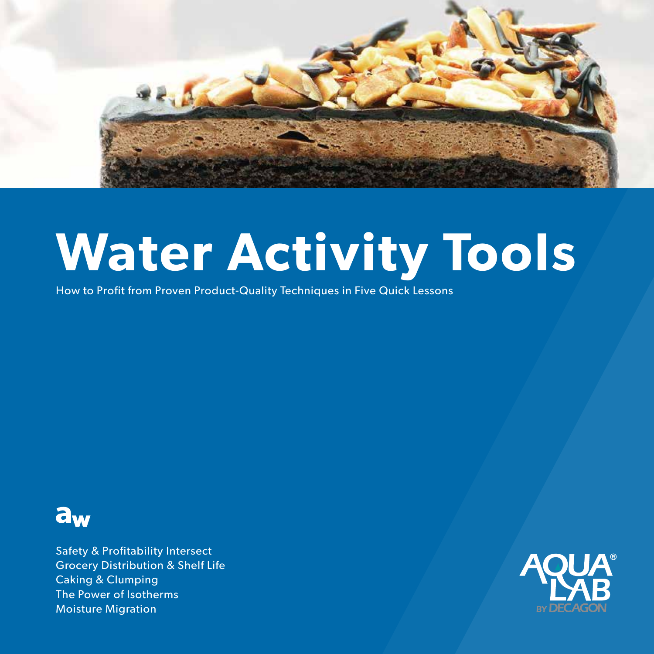

# **Water Activity Tools**

How to Profit from Proven Product-Quality Techniques in Five Quick Lessons



Safety & Profitability Intersect Grocery Distribution & Shelf Life Caking & Clumping The Power of Isotherms Moisture Migration

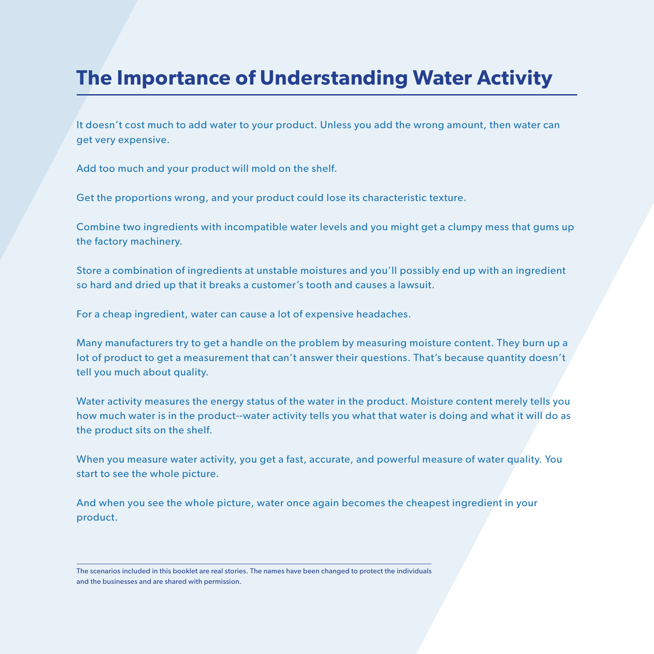# **The Importance of Understanding Water Activity**

It doesn't cost much to add water to your product. Unless you add the wrong amount, then water can get very expensive.

Add too much and your product will mold on the shelf.

Get the proportions wrong, and your product could lose its characteristic texture.

Combine two ingredients with incompatible water levels and you might get a clumpy mess that gums up the factory machinery.

Store a combination of ingredients at unstable moistures and you'll possibly end up with an ingredient so hard and dried up that it breaks a customer's tooth and causes a lawsuit.

For a cheap ingredient, water can cause a lot of expensive headaches.

Many manufacturers try to get a handle on the problem by measuring moisture content. They burn up a lot of product to get a measurement that can't answer their questions. That's because quantity doesn't tell you much about quality.

Water activity measures the energy status of the water in the product. Moisture content merely tells you how much water is in the product--water activity tells you what that water is doing and what it will do as the product sits on the shelf.

When you measure water activity, you get a fast, accurate, and powerful measure of water quality. You start to see the whole picture.

And when you see the whole picture, water once again becomes the cheapest ingredient in your product.

The scenarios included in this booklet are real stories. The names have been changed to protect the individuals and the businesses and are shared with permission.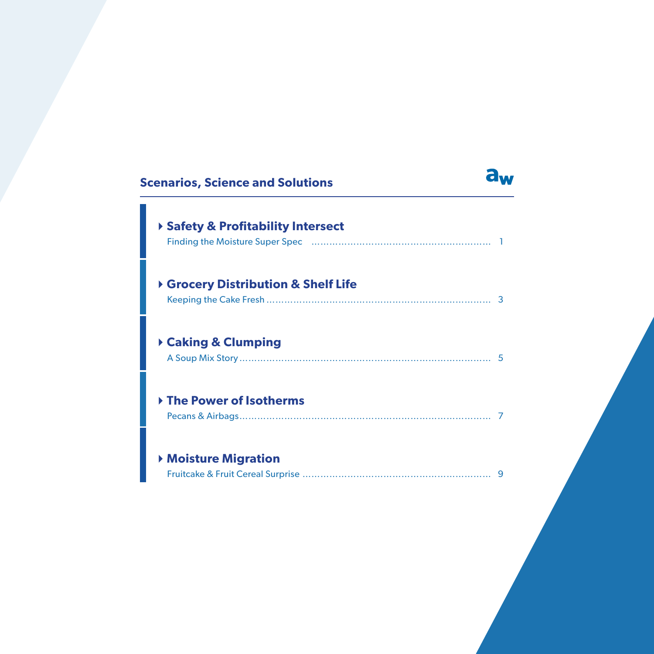### **Scenarios, Science and Solutions**

# $a_w$

| ▶ Safety & Profitability Intersect |   |
|------------------------------------|---|
| Grocery Distribution & Shelf Life  |   |
| ▶ Caking & Clumping                | 5 |
| The Power of Isotherms             |   |
| <b>▶ Moisture Migration</b>        |   |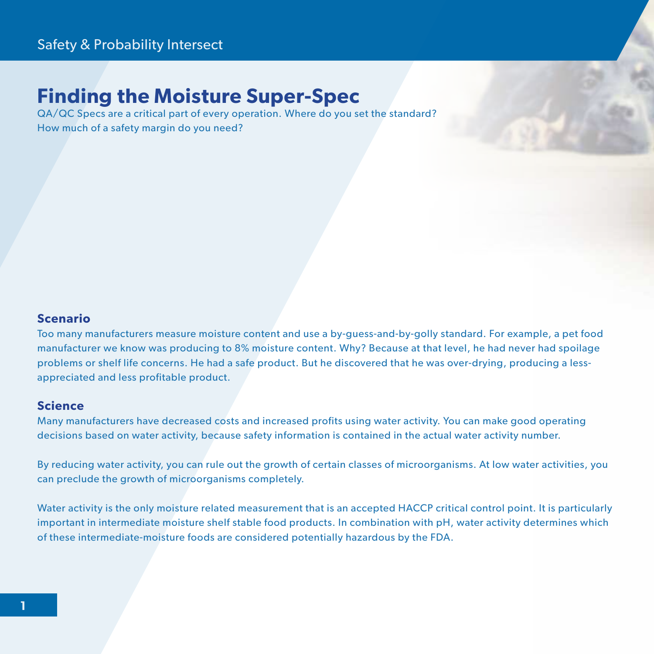# **Finding the Moisture Super-Spec**

QA/QC Specs are a critical part of every operation. Where do you set the standard? How much of a safety margin do you need?

#### **Scenario**

Too many manufacturers measure moisture content and use a by-guess-and-by-golly standard. For example, a pet food manufacturer we know was producing to 8% moisture content. Why? Because at that level, he had never had spoilage problems or shelf life concerns. He had a safe product. But he discovered that he was over-drying, producing a lessappreciated and less profitable product.

#### **Science**

Many manufacturers have decreased costs and increased profits using water activity. You can make good operating decisions based on water activity, because safety information is contained in the actual water activity number.

By reducing water activity, you can rule out the growth of certain classes of microorganisms. At low water activities, you can preclude the growth of microorganisms completely.

Water activity is the only moisture related measurement that is an accepted HACCP critical control point. It is particularly important in intermediate moisture shelf stable food products. In combination with pH, water activity determines which of these intermediate-moisture foods are considered potentially hazardous by the FDA.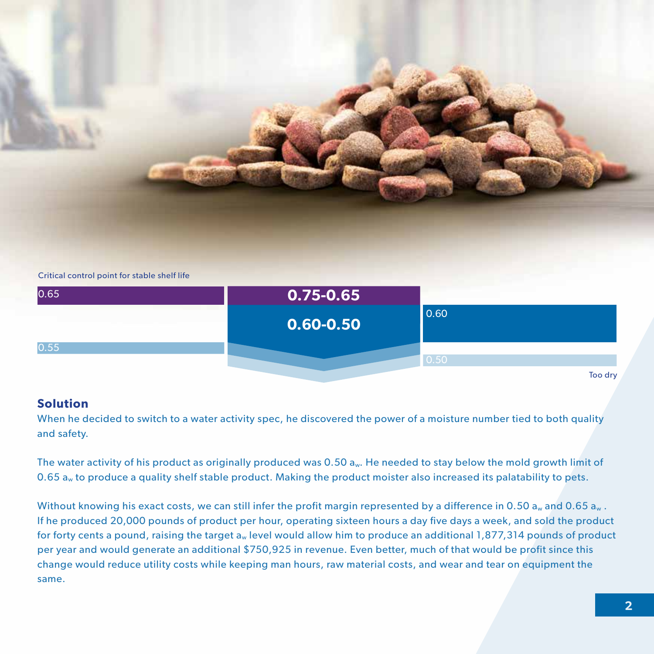

#### **Solution**

 $0.55$ 

When he decided to switch to a water activity spec, he discovered the power of a moisture number tied to both quality and safety.

**0.60-0.50**

0.50

0.60

The water activity of his product as originally produced was  $0.50$  a<sub>w</sub>. He needed to stay below the mold growth limit of 0.65 a<sub>w</sub> to produce a quality shelf stable product. Making the product moister also increased its palatability to pets.

Without knowing his exact costs, we can still infer the profit margin represented by a difference in 0.50  $a_w$  and 0.65  $a_w$ . If he produced 20,000 pounds of product per hour, operating sixteen hours a day five days a week, and sold the product for forty cents a pound, raising the target a<sub>w</sub> level would allow him to produce an additional 1,877,314 pounds of product per year and would generate an additional \$750,925 in revenue. Even better, much of that would be profit since this change would reduce utility costs while keeping man hours, raw material costs, and wear and tear on equipment the same.

Too dry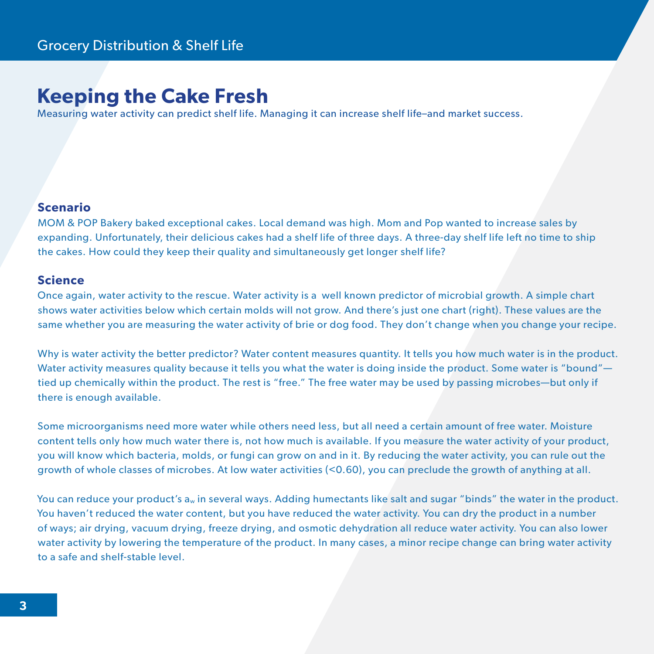# **Keeping the Cake Fresh**

Measuring water activity can predict shelf life. Managing it can increase shelf life–and market success.

#### **Scenario**

MOM & POP Bakery baked exceptional cakes. Local demand was high. Mom and Pop wanted to increase sales by expanding. Unfortunately, their delicious cakes had a shelf life of three days. A three-day shelf life left no time to ship the cakes. How could they keep their quality and simultaneously get longer shelf life?

#### **Science**

Once again, water activity to the rescue. Water activity is a well known predictor of microbial growth. A simple chart shows water activities below which certain molds will not grow. And there's just one chart (right). These values are the same whether you are measuring the water activity of brie or dog food. They don't change when you change your recipe.

Why is water activity the better predictor? Water content measures quantity. It tells you how much water is in the product. Water activity measures quality because it tells you what the water is doing inside the product. Some water is "bound" tied up chemically within the product. The rest is "free." The free water may be used by passing microbes—but only if there is enough available.

Some microorganisms need more water while others need less, but all need a certain amount of free water. Moisture content tells only how much water there is, not how much is available. If you measure the water activity of your product, you will know which bacteria, molds, or fungi can grow on and in it. By reducing the water activity, you can rule out the growth of whole classes of microbes. At low water activities (<0.60), you can preclude the growth of anything at all.

You can reduce your product's a<sub>w</sub> in several ways. Adding humectants like salt and sugar "binds" the water in the product. You haven't reduced the water content, but you have reduced the water activity. You can dry the product in a number of ways; air drying, vacuum drying, freeze drying, and osmotic dehydration all reduce water activity. You can also lower water activity by lowering the temperature of the product. In many cases, a minor recipe change can bring water activity to a safe and shelf-stable level.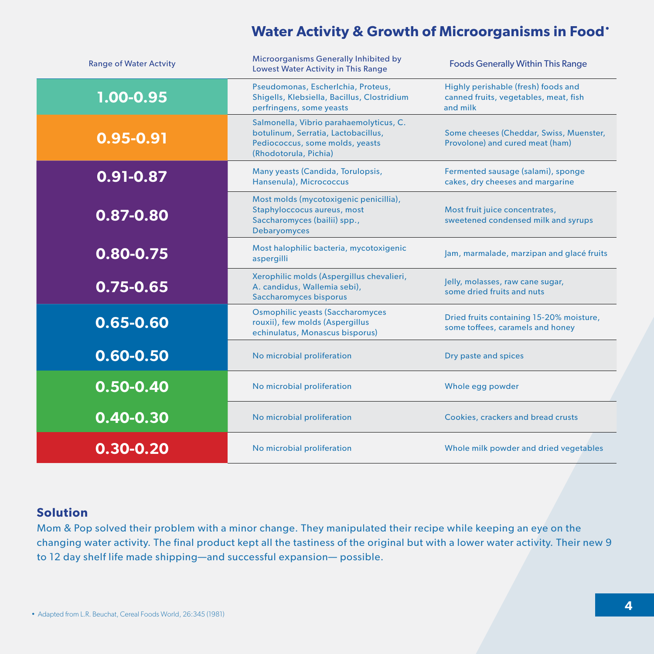#### **Water Activity & Growth of Microorganisms in Food•**

| <b>Range of Water Actvity</b> | Microorganisms Generally Inhibited by<br>Lowest Water Activity in This Range                                                               | <b>Foods Generally Within This Range</b>                                                 |
|-------------------------------|--------------------------------------------------------------------------------------------------------------------------------------------|------------------------------------------------------------------------------------------|
| 1.00-0.95                     | Pseudomonas, Escherlchia, Proteus,<br>Shigells, Klebsiella, Bacillus, Clostridium<br>perfringens, some yeasts                              | Highly perishable (fresh) foods and<br>canned fruits, vegetables, meat, fish<br>and milk |
| 0.95-0.91                     | Salmonella, Vibrio parahaemolyticus, C.<br>botulinum, Serratia, Lactobacillus,<br>Pediococcus, some molds, yeasts<br>(Rhodotorula, Pichia) | Some cheeses (Cheddar, Swiss, Muenster,<br>Provolone) and cured meat (ham)               |
| 0.91-0.87                     | Many yeasts (Candida, Torulopsis,<br>Hansenula), Micrococcus                                                                               | Fermented sausage (salami), sponge<br>cakes, dry cheeses and margarine                   |
| 0.87-0.80                     | Most molds (mycotoxigenic penicillia),<br>Staphyloccocus aureus, most<br>Saccharomyces (bailii) spp.,<br>Debaryomyces                      | Most fruit juice concentrates,<br>sweetened condensed milk and syrups                    |
| 0.80-0.75                     | Most halophilic bacteria, mycotoxigenic<br>aspergilli                                                                                      | Jam, marmalade, marzipan and glacé fruits                                                |
| 0.75-0.65                     | Xerophilic molds (Aspergillus chevalieri,<br>A. candidus, Wallemia sebi),<br>Saccharomyces bisporus                                        | Jelly, molasses, raw cane sugar,<br>some dried fruits and nuts                           |
| 0.65-0.60                     | <b>Osmophilic yeasts (Saccharomyces</b><br>rouxii), few molds (Aspergillus<br>echinulatus, Monascus bisporus)                              | Dried fruits containing 15-20% moisture,<br>some toffees, caramels and honey             |
| $0.60 - 0.50$                 | No microbial proliferation                                                                                                                 | Dry paste and spices                                                                     |
| $0.50 - 0.40$                 | No microbial proliferation                                                                                                                 | Whole egg powder                                                                         |
| 0.40-0.30                     | No microbial proliferation                                                                                                                 | Cookies, crackers and bread crusts                                                       |
| 0.30-0.20                     | No microbial proliferation                                                                                                                 | Whole milk powder and dried vegetables                                                   |

#### **Solution**

Mom & Pop solved their problem with a minor change. They manipulated their recipe while keeping an eye on the changing water activity. The final product kept all the tastiness of the original but with a lower water activity. Their new 9 to 12 day shelf life made shipping—and successful expansion— possible.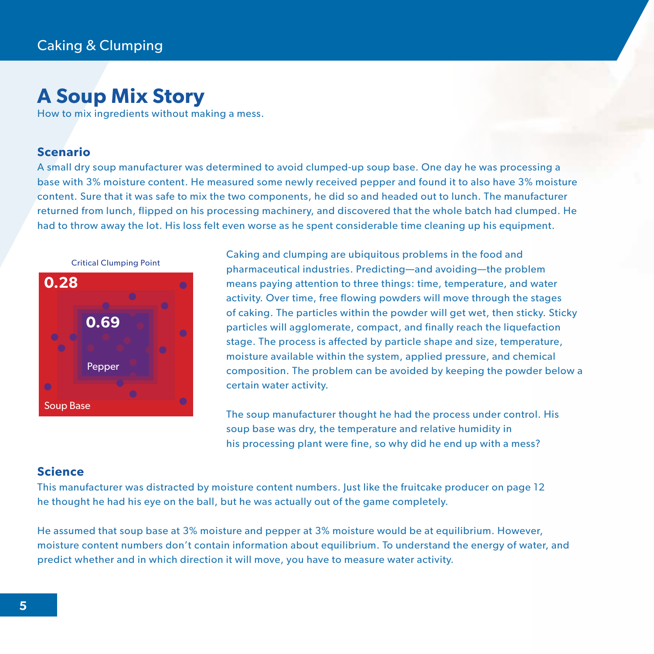# **A Soup Mix Story**

How to mix ingredients without making a mess.

#### **Scenario**

A small dry soup manufacturer was determined to avoid clumped-up soup base. One day he was processing a base with 3% moisture content. He measured some newly received pepper and found it to also have 3% moisture content. Sure that it was safe to mix the two components, he did so and headed out to lunch. The manufacturer returned from lunch, flipped on his processing machinery, and discovered that the whole batch had clumped. He had to throw away the lot. His loss felt even worse as he spent considerable time cleaning up his equipment.



Caking and clumping are ubiquitous problems in the food and pharmaceutical industries. Predicting—and avoiding—the problem means paying attention to three things: time, temperature, and water activity. Over time, free flowing powders will move through the stages of caking. The particles within the powder will get wet, then sticky. Sticky particles will agglomerate, compact, and finally reach the liquefaction stage. The process is affected by particle shape and size, temperature, moisture available within the system, applied pressure, and chemical composition. The problem can be avoided by keeping the powder below a certain water activity.

The soup manufacturer thought he had the process under control. His soup base was dry, the temperature and relative humidity in his processing plant were fine, so why did he end up with a mess?

#### **Science**

This manufacturer was distracted by moisture content numbers. Just like the fruitcake producer on page 12 he thought he had his eye on the ball, but he was actually out of the game completely.

He assumed that soup base at 3% moisture and pepper at 3% moisture would be at equilibrium. However, moisture content numbers don't contain information about equilibrium. To understand the energy of water, and predict whether and in which direction it will move, you have to measure water activity.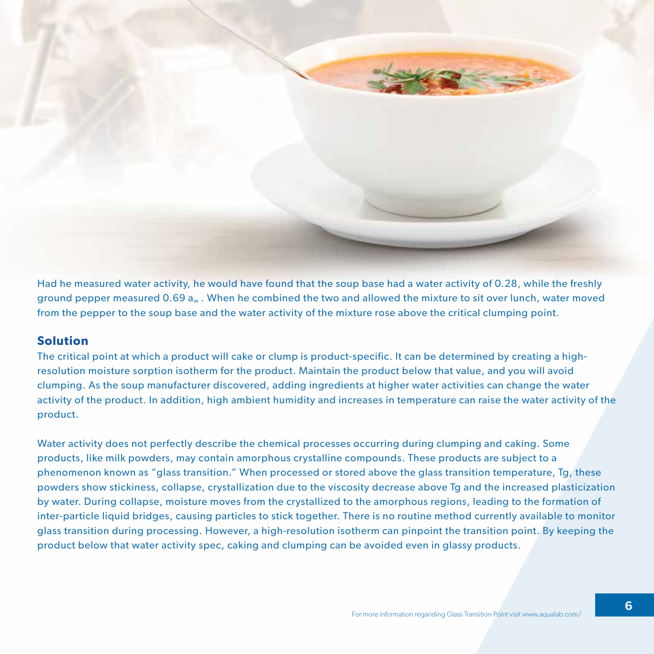

Had he measured water activity, he would have found that the soup base had a water activity of 0.28, while the freshly ground pepper measured 0.69 aw . When he combined the two and allowed the mixture to sit over lunch, water moved from the pepper to the soup base and the water activity of the mixture rose above the critical clumping point.

#### **Solution**

The critical point at which a product will cake or clump is product-specific. It can be determined by creating a highresolution moisture sorption isotherm for the product. Maintain the product below that value, and you will avoid clumping. As the soup manufacturer discovered, adding ingredients at higher water activities can change the water activity of the product. In addition, high ambient humidity and increases in temperature can raise the water activity of the product.

Water activity does not perfectly describe the chemical processes occurring during clumping and caking. Some products, like milk powders, may contain amorphous crystalline compounds. These products are subject to a phenomenon known as "glass transition." When processed or stored above the glass transition temperature, Tg, these powders show stickiness, collapse, crystallization due to the viscosity decrease above Tg and the increased plasticization by water. During collapse, moisture moves from the crystallized to the amorphous regions, leading to the formation of inter-particle liquid bridges, causing particles to stick together. There is no routine method currently available to monitor glass transition during processing. However, a high-resolution isotherm can pinpoint the transition point. By keeping the product below that water activity spec, caking and clumping can be avoided even in glassy products.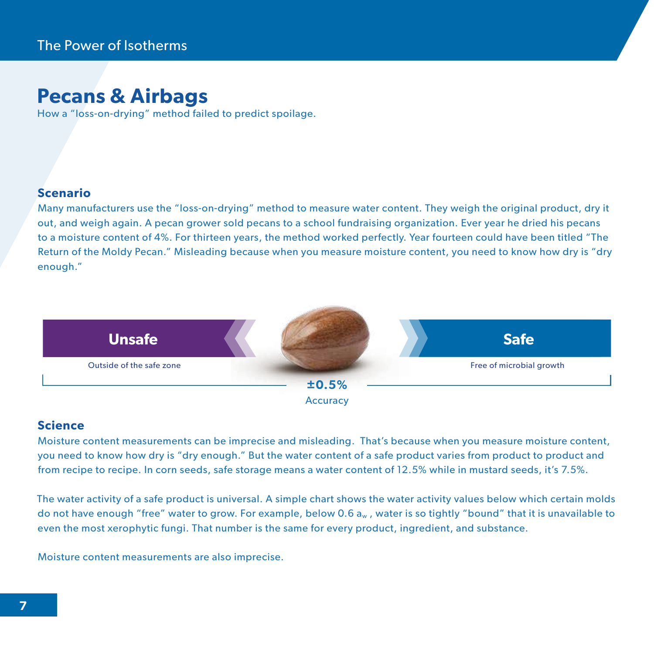# **Pecans & Airbags**

How a "loss-on-drying" method failed to predict spoilage.

#### **Scenario**

Many manufacturers use the "loss-on-drying" method to measure water content. They weigh the original product, dry it out, and weigh again. A pecan grower sold pecans to a school fundraising organization. Ever year he dried his pecans to a moisture content of 4%. For thirteen years, the method worked perfectly. Year fourteen could have been titled "The Return of the Moldy Pecan." Misleading because when you measure moisture content, you need to know how dry is "dry enough."



#### **Science**

Moisture content measurements can be imprecise and misleading. That's because when you measure moisture content, you need to know how dry is "dry enough." But the water content of a safe product varies from product to product and from recipe to recipe. In corn seeds, safe storage means a water content of 12.5% while in mustard seeds, it's 7.5%.

The water activity of a safe product is universal. A simple chart shows the water activity values below which certain molds do not have enough "free" water to grow. For example, below 0.6  $a_w$ , water is so tightly "bound" that it is unavailable to even the most xerophytic fungi. That number is the same for every product, ingredient, and substance.

Moisture content measurements are also imprecise.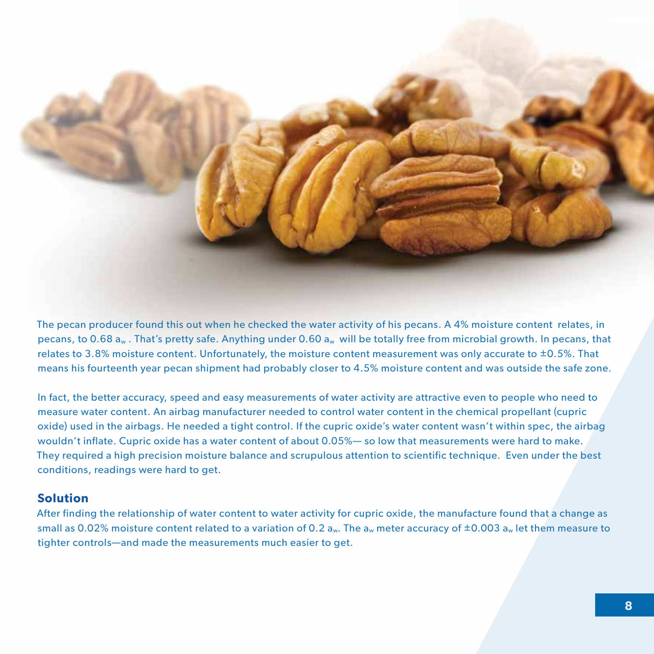

The pecan producer found this out when he checked the water activity of his pecans. A 4% moisture content relates, in pecans, to 0.68  $a_w$ . That's pretty safe. Anything under 0.60  $a_w$  will be totally free from microbial growth. In pecans, that relates to 3.8% moisture content. Unfortunately, the moisture content measurement was only accurate to  $\pm 0.5$ %. That means his fourteenth year pecan shipment had probably closer to 4.5% moisture content and was outside the safe zone.

In fact, the better accuracy, speed and easy measurements of water activity are attractive even to people who need to measure water content. An airbag manufacturer needed to control water content in the chemical propellant (cupric oxide) used in the airbags. He needed a tight control. If the cupric oxide's water content wasn't within spec, the airbag wouldn't inflate. Cupric oxide has a water content of about 0.05%— so low that measurements were hard to make. They required a high precision moisture balance and scrupulous attention to scientific technique. Even under the best conditions, readings were hard to get.

#### **Solution**

After finding the relationship of water content to water activity for cupric oxide, the manufacture found that a change as small as 0.02% moisture content related to a variation of 0.2  $a_w$ . The  $a_w$  meter accuracy of  $\pm$ 0.003  $a_w$  let them measure to tighter controls—and made the measurements much easier to get.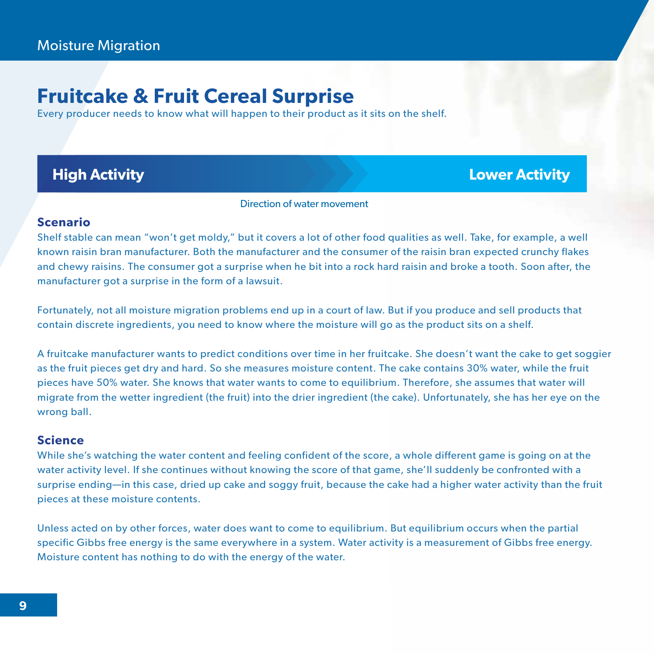# **Fruitcake & Fruit Cereal Surprise**

Every producer needs to know what will happen to their product as it sits on the shelf.

#### **High Activity Lower Activity**

#### Direction of water movement

#### **Scenario**

Shelf stable can mean "won't get moldy," but it covers a lot of other food qualities as well. Take, for example, a well known raisin bran manufacturer. Both the manufacturer and the consumer of the raisin bran expected crunchy flakes and chewy raisins. The consumer got a surprise when he bit into a rock hard raisin and broke a tooth. Soon after, the manufacturer got a surprise in the form of a lawsuit.

Fortunately, not all moisture migration problems end up in a court of law. But if you produce and sell products that contain discrete ingredients, you need to know where the moisture will go as the product sits on a shelf.

A fruitcake manufacturer wants to predict conditions over time in her fruitcake. She doesn't want the cake to get soggier as the fruit pieces get dry and hard. So she measures moisture content. The cake contains 30% water, while the fruit pieces have 50% water. She knows that water wants to come to equilibrium. Therefore, she assumes that water will migrate from the wetter ingredient (the fruit) into the drier ingredient (the cake). Unfortunately, she has her eye on the wrong ball.

#### **Science**

While she's watching the water content and feeling confident of the score, a whole different game is going on at the water activity level. If she continues without knowing the score of that game, she'll suddenly be confronted with a surprise ending—in this case, dried up cake and soggy fruit, because the cake had a higher water activity than the fruit pieces at these moisture contents.

Unless acted on by other forces, water does want to come to equilibrium. But equilibrium occurs when the partial specific Gibbs free energy is the same everywhere in a system. Water activity is a measurement of Gibbs free energy. Moisture content has nothing to do with the energy of the water.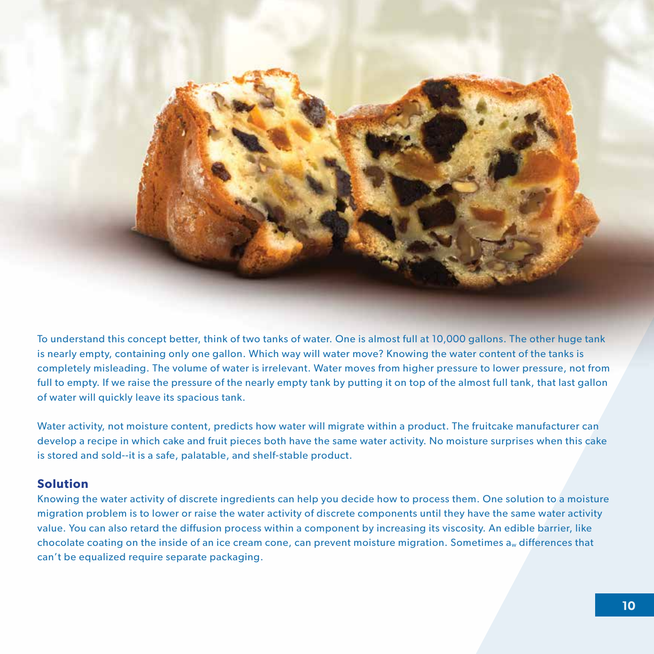

To understand this concept better, think of two tanks of water. One is almost full at 10,000 gallons. The other huge tank is nearly empty, containing only one gallon. Which way will water move? Knowing the water content of the tanks is completely misleading. The volume of water is irrelevant. Water moves from higher pressure to lower pressure, not from full to empty. If we raise the pressure of the nearly empty tank by putting it on top of the almost full tank, that last gallon of water will quickly leave its spacious tank.

Water activity, not moisture content, predicts how water will migrate within a product. The fruitcake manufacturer can develop a recipe in which cake and fruit pieces both have the same water activity. No moisture surprises when this cake is stored and sold--it is a safe, palatable, and shelf-stable product.

#### **Solution**

Knowing the water activity of discrete ingredients can help you decide how to process them. One solution to a moisture migration problem is to lower or raise the water activity of discrete components until they have the same water activity value. You can also retard the diffusion process within a component by increasing its viscosity. An edible barrier, like chocolate coating on the inside of an ice cream cone, can prevent moisture migration. Sometimes aw differences that can't be equalized require separate packaging.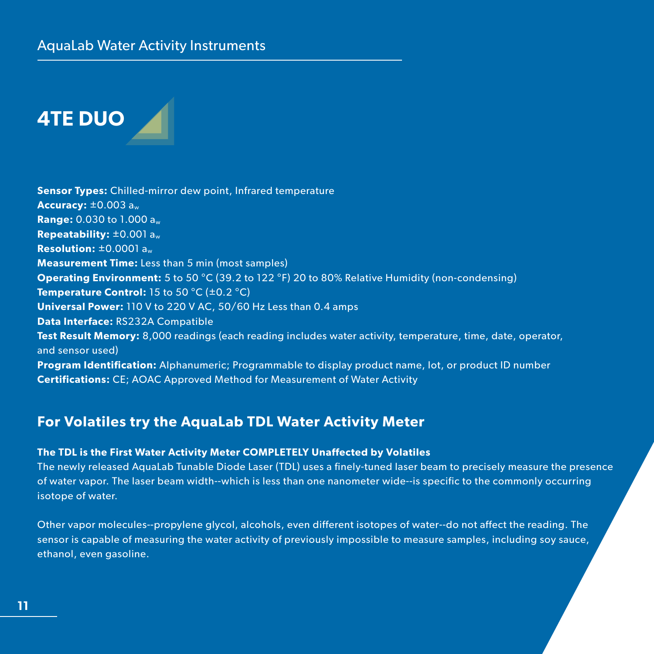#### AquaLab Water Activity Instruments

# **4TE DUO**

**Sensor Types:** Chilled-mirror dew point, Infrared temperature **Accuracy:** ±0.003 aw **Range:** 0.030 to 1.000 aw **Repeatability:** ±0.001 aw **Resolution:** ±0.0001 aw **Measurement Time:** Less than 5 min (most samples) **Operating Environment:** 5 to 50 °C (39.2 to 122 °F) 20 to 80% Relative Humidity (non-condensing) **Temperature Control:** 15 to 50 °C (±0.2 °C) **Universal Power:** 110 V to 220 V AC, 50/60 Hz Less than 0.4 amps **Data Interface:** RS232A Compatible **Test Result Memory:** 8,000 readings (each reading includes water activity, temperature, time, date, operator, and sensor used) **Program Identification:** Alphanumeric; Programmable to display product name, lot, or product ID number **Certifications:** CE; AOAC Approved Method for Measurement of Water Activity

#### **For Volatiles try the AquaLab TDL Water Activity Meter**

#### **The TDL is the First Water Activity Meter COMPLETELY Unaffected by Volatiles**

The newly released AquaLab Tunable Diode Laser (TDL) uses a finely-tuned laser beam to precisely measure the presence of water vapor. The laser beam width--which is less than one nanometer wide--is specific to the commonly occurring isotope of water.

Other vapor molecules--propylene glycol, alcohols, even different isotopes of water--do not affect the reading. The sensor is capable of measuring the water activity of previously impossible to measure samples, including soy sauce, ethanol, even gasoline.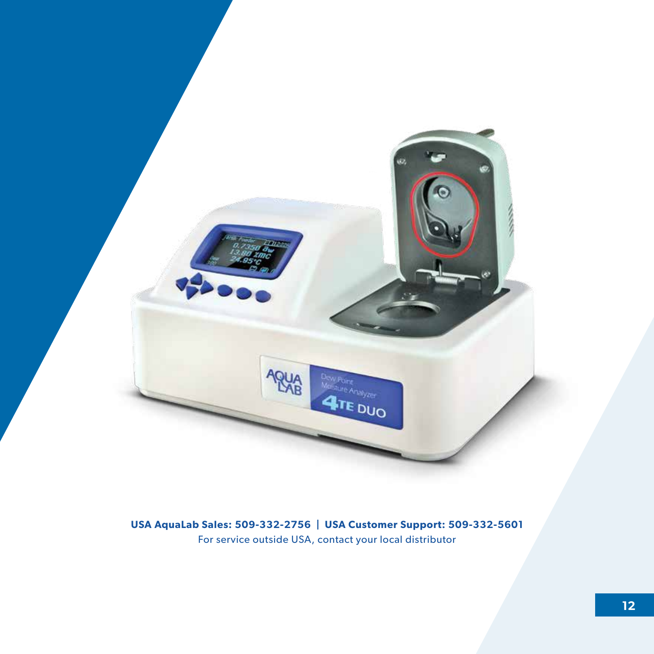

**USA AquaLab Sales: 509-332-2756 | USA Customer Support: 509-332-5601** For service outside USA, contact your local distributor